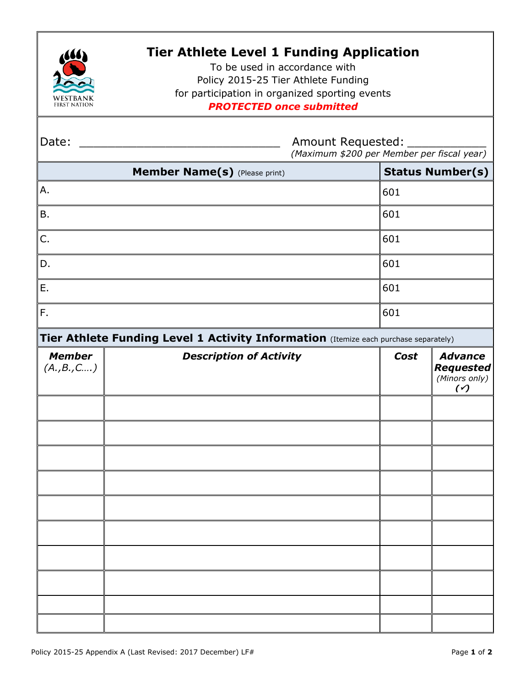

## **Tier Athlete Level 1 Funding Application**

To be used in accordance with Policy 2015-25 Tier Athlete Funding for participation in organized sporting events *PROTECTED once submitted*

| Date:                                                                                | <b>Amount Requested:</b><br>(Maximum \$200 per Member per fiscal year) |                         |                                                          |
|--------------------------------------------------------------------------------------|------------------------------------------------------------------------|-------------------------|----------------------------------------------------------|
| Member Name(s) (Please print)                                                        |                                                                        | <b>Status Number(s)</b> |                                                          |
| Α.                                                                                   |                                                                        | 601                     |                                                          |
| Β.                                                                                   |                                                                        | 601                     |                                                          |
| C.                                                                                   |                                                                        | 601                     |                                                          |
| D.                                                                                   |                                                                        | 601                     |                                                          |
| Ε.                                                                                   |                                                                        | 601                     |                                                          |
| F.                                                                                   |                                                                        | 601                     |                                                          |
| Tier Athlete Funding Level 1 Activity Information (Itemize each purchase separately) |                                                                        |                         |                                                          |
| <b>Member</b><br>(A., B., C )                                                        | <b>Description of Activity</b>                                         | Cost                    | <b>Advance</b><br><b>Requested</b><br>(Minors only)<br>( |
|                                                                                      |                                                                        |                         |                                                          |
|                                                                                      |                                                                        |                         |                                                          |
|                                                                                      |                                                                        |                         |                                                          |
|                                                                                      |                                                                        |                         |                                                          |
|                                                                                      |                                                                        |                         |                                                          |
|                                                                                      |                                                                        |                         |                                                          |
|                                                                                      |                                                                        |                         |                                                          |
|                                                                                      |                                                                        |                         |                                                          |
|                                                                                      |                                                                        |                         |                                                          |
|                                                                                      |                                                                        |                         |                                                          |